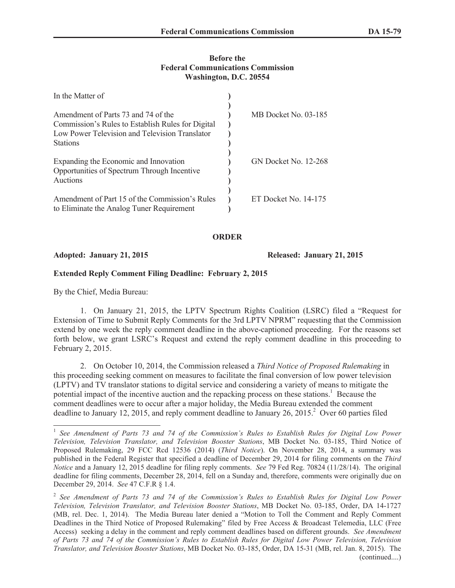## **Before the Federal Communications Commission Washington, D.C. 20554**

| In the Matter of                                                                                                                           |                      |
|--------------------------------------------------------------------------------------------------------------------------------------------|----------------------|
| Amendment of Parts 73 and 74 of the<br>Commission's Rules to Establish Rules for Digital<br>Low Power Television and Television Translator | MB Docket No. 03-185 |
| <b>Stations</b><br>Expanding the Economic and Innovation<br>Opportunities of Spectrum Through Incentive<br>Auctions                        | GN Docket No. 12-268 |
| Amendment of Part 15 of the Commission's Rules<br>to Eliminate the Analog Tuner Requirement                                                | ET Docket No. 14-175 |

## **ORDER**

**Adopted: January 21, 2015 Released: January 21, 2015**

## **Extended Reply Comment Filing Deadline: February 2, 2015**

By the Chief, Media Bureau:

1. On January 21, 2015, the LPTV Spectrum Rights Coalition (LSRC) filed a "Request for Extension of Time to Submit Reply Comments for the 3rd LPTV NPRM" requesting that the Commission extend by one week the reply comment deadline in the above-captioned proceeding. For the reasons set forth below, we grant LSRC's Request and extend the reply comment deadline in this proceeding to February 2, 2015.

2. On October 10, 2014, the Commission released a *Third Notice of Proposed Rulemaking* in this proceeding seeking comment on measures to facilitate the final conversion of low power television (LPTV) and TV translator stations to digital service and considering a variety of means to mitigate the potential impact of the incentive auction and the repacking process on these stations.<sup>1</sup> Because the comment deadlines were to occur after a major holiday, the Media Bureau extended the comment deadline to January 12, 2015, and reply comment deadline to January 26, 2015.<sup>2</sup> Over 60 parties filed

<sup>&</sup>lt;sup>1</sup> See Amendment of Parts 73 and 74 of the Commission's Rules to Establish Rules for Digital Low Power *Television, Television Translator, and Television Booster Stations*, MB Docket No. 03-185, Third Notice of Proposed Rulemaking, 29 FCC Rcd 12536 (2014) (*Third Notice*). On November 28, 2014, a summary was published in the Federal Register that specified a deadline of December 29, 2014 for filing comments on the *Third Notice* and a January 12, 2015 deadline for filing reply comments. *See* 79 Fed Reg. 70824 (11/28/14). The original deadline for filing comments, December 28, 2014, fell on a Sunday and, therefore, comments were originally due on December 29, 2014. *See* 47 C.F.R § 1.4.

<sup>2</sup> *See Amendment of Parts 73 and 74 of the Commission's Rules to Establish Rules for Digital Low Power Television, Television Translator, and Television Booster Stations*, MB Docket No. 03-185, Order, DA 14-1727 (MB, rel. Dec. 1, 2014). The Media Bureau later denied a "Motion to Toll the Comment and Reply Comment Deadlines in the Third Notice of Proposed Rulemaking" filed by Free Access & Broadcast Telemedia, LLC (Free Access) seeking a delay in the comment and reply comment deadlines based on different grounds. *See Amendment of Parts 73 and 74 of the Commission's Rules to Establish Rules for Digital Low Power Television, Television Translator, and Television Booster Stations*, MB Docket No. 03-185, Order, DA 15-31 (MB, rel. Jan. 8, 2015). The (continued....)